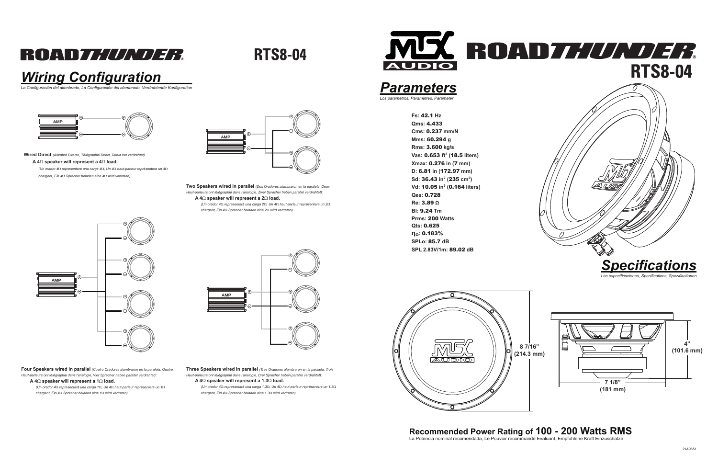# ROAD*THUNDER*

**RTS8-04** 

**Fs:** 42.1 **Hz Qms:** 4.433 **Cms:** 0.237 **mm/NMms:** 60.294 **g Rms:** 3.600 **kg/s Vas:** 0.653 **ft<sup>3</sup> (**18.5 **liters)Xmax:** 0.276 **in (**7 **mm) D:** 6.81 **in (**172.97 **mm)Sd:** 36.43 **in<sup>2</sup> (**235 **cm<sup>2</sup>)Vd:** 10.05 **in<sup>3</sup> (**0.164 **liters)Qes:** 0.728 **Re:** 3.89 **<sup>Ω</sup> Bl:** 9.24 **Tm Prms:** 200 **WattsQts:** 0.625 **ηo:** 0.183% **SPLo:** 85.7 **dBSPL 2.83V/1m:** 89.02 **dB**

## *Wiring Configuration*

*La Configuración del alambrado, La Configuración del alambrado, Verdrahtende Konfiguration*

### *Parameters*

*Los parámetros, Paramètres, Parameter*

**Recommended Power Rating of 100 - 200 Watts RMS** La Potencia nominal recomendada, Le Pouvoir recommandé Evaluant, Empfohlene Kraft Einzuschätze



*Las especificaciones, Specifications, Spezifikationen*









**Wired Direct** *(Alambró Directo, Télégraphié Direct, Direkt hat verdrahtet)*

### **A 4**Ω **speaker will represent a 4**Ω **load.**

*(Un orador 4*Ω *representará una carga 4*Ω*, Un 4*Ω *haut-parleur représentera un 4*Ω*chargent, Ein 4*Ω *Sprecher beladen eine 4*Ω *wird vertreten)*

> **Two Speakers wired in parallel** *(Dos Oradores alambraron en la paralela, Deux Haut-parleurs ont télégraphié dans l'analogie, Zwei Sprecher haben parallel verdrahtet):***A 4**Ω **speaker will represent a 2**Ω **load.**

*(Un orador 4*Ω *representará una carga 2*Ω*, Un 4*Ω *haut-parleur représentera un 2*Ω*chargent, Ein 4*Ω *Sprecher beladen eine 2*Ω *wird vertreten)*



**Four Speakers wired in parallel** *(Cuatro Oradores alambraron en la paralela, Quatre Haut-parleurs ont télégraphié dans l'analogie, Vier Sprecher haben parallel verdrahtet):***A 4**Ω **speaker will represent a 1**Ω **load.**

 *(Un orador 4*Ω *representará una carga 1*Ω*, Un 4*Ω *haut-parleur représentera un 1*Ω*chargent, Ein 4*Ω *Sprecher beladen eine 1*Ω *wird vertreten)*

**Three Speakers wired in parallel** *(Tres Oradores alambraron en la paralela, Trois Haut-parleurs ont télégraphié dans l'analogie, Drei Sprecher haben parallel verdrahtet):***A 4**Ω **speaker will represent a 1.3**Ω **load.**

 *(Un orador 4*Ω *representará una carga 1.3*Ω*, Un 4*Ω *haut-parleur représentera un 1.3*Ω*chargent, Ein 4*Ω *Sprecher beladen eine 1.3*Ω *wird vertreten)*